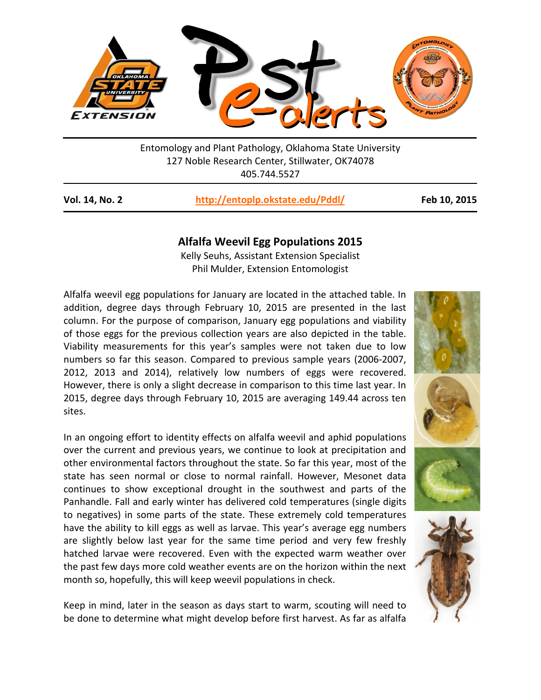

Entomology and Plant Pathology, Oklahoma State University 127 Noble Research Center, Stillwater, OK74078 405.744.5527

| Vol. 14, No. 2 | http://entoplp.okstate.edu/Pddl/ |  |
|----------------|----------------------------------|--|
|----------------|----------------------------------|--|

**Vol. 14, No. 2 <http://entoplp.okstate.edu/Pddl/> Feb 10, 2015**

## **Alfalfa Weevil Egg Populations 2015**

Kelly Seuhs, Assistant Extension Specialist Phil Mulder, Extension Entomologist

Alfalfa weevil egg populations for January are located in the attached table. In addition, degree days through February 10, 2015 are presented in the last column. For the purpose of comparison, January egg populations and viability of those eggs for the previous collection years are also depicted in the table. Viability measurements for this year's samples were not taken due to low numbers so far this season. Compared to previous sample years (2006-2007, 2012, 2013 and 2014), relatively low numbers of eggs were recovered. However, there is only a slight decrease in comparison to this time last year. In 2015, degree days through February 10, 2015 are averaging 149.44 across ten sites.

In an ongoing effort to identity effects on alfalfa weevil and aphid populations over the current and previous years, we continue to look at precipitation and other environmental factors throughout the state. So far this year, most of the state has seen normal or close to normal rainfall. However, Mesonet data continues to show exceptional drought in the southwest and parts of the Panhandle. Fall and early winter has delivered cold temperatures (single digits to negatives) in some parts of the state. These extremely cold temperatures have the ability to kill eggs as well as larvae. This year's average egg numbers are slightly below last year for the same time period and very few freshly hatched larvae were recovered. Even with the expected warm weather over the past few days more cold weather events are on the horizon within the next month so, hopefully, this will keep weevil populations in check.

Keep in mind, later in the season as days start to warm, scouting will need to be done to determine what might develop before first harvest. As far as alfalfa



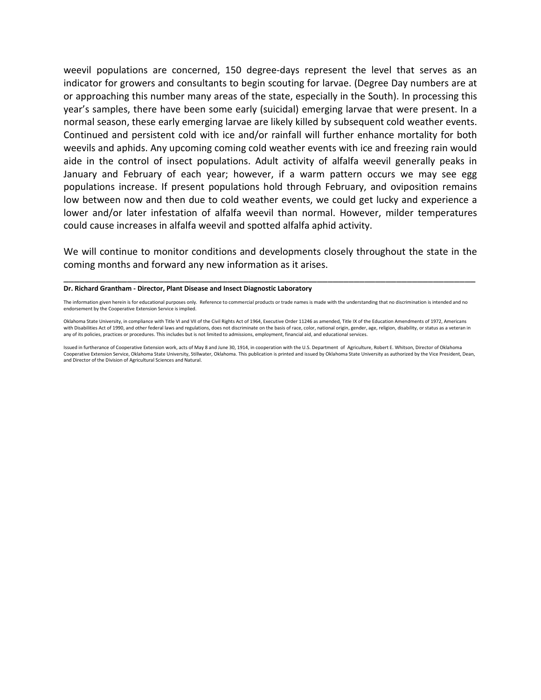weevil populations are concerned, 150 degree-days represent the level that serves as an indicator for growers and consultants to begin scouting for larvae. (Degree Day numbers are at or approaching this number many areas of the state, especially in the South). In processing this year's samples, there have been some early (suicidal) emerging larvae that were present. In a normal season, these early emerging larvae are likely killed by subsequent cold weather events. Continued and persistent cold with ice and/or rainfall will further enhance mortality for both weevils and aphids. Any upcoming coming cold weather events with ice and freezing rain would aide in the control of insect populations. Adult activity of alfalfa weevil generally peaks in January and February of each year; however, if a warm pattern occurs we may see egg populations increase. If present populations hold through February, and oviposition remains low between now and then due to cold weather events, we could get lucky and experience a lower and/or later infestation of alfalfa weevil than normal. However, milder temperatures could cause increases in alfalfa weevil and spotted alfalfa aphid activity.

We will continue to monitor conditions and developments closely throughout the state in the coming months and forward any new information as it arises.

\_\_\_\_\_\_\_\_\_\_\_\_\_\_\_\_\_\_\_\_\_\_\_\_\_\_\_\_\_\_\_\_\_\_\_\_\_\_\_\_\_\_\_\_\_\_\_\_\_\_\_\_\_\_\_\_\_\_\_\_\_\_\_\_\_\_\_\_\_\_\_\_\_\_\_\_\_\_

## **Dr. Richard Grantham - Director, Plant Disease and Insect Diagnostic Laboratory**

The information given herein is for educational purposes only. Reference to commercial products or trade names is made with the understanding that no discrimination is intended and no endorsement by the Cooperative Extension Service is implied.

Oklahoma State University, in compliance with Title VI and VII of the Civil Rights Act of 1964, Executive Order 11246 as amended, Title IX of the Education Amendments of 1972, Americans with Disabilities Act of 1990, and other federal laws and regulations, does not discriminate on the basis of race, color, national origin, gender, age, religion, disability, or status as a veteran in any of its policies, practices or procedures. This includes but is not limited to admissions, employment, financial aid, and educational services.

Issued in furtherance of Cooperative Extension work, acts of May 8 and June 30, 1914, in cooperation with the U.S. Department of Agriculture, Robert E. Whitson, Director of Oklahoma Cooperative Extension Service, Oklahoma State University, Stillwater, Oklahoma. This publication is printed and issued by Oklahoma State University as authorized by the Vice President, Dean, and Director of the Division of Agricultural Sciences and Natural.